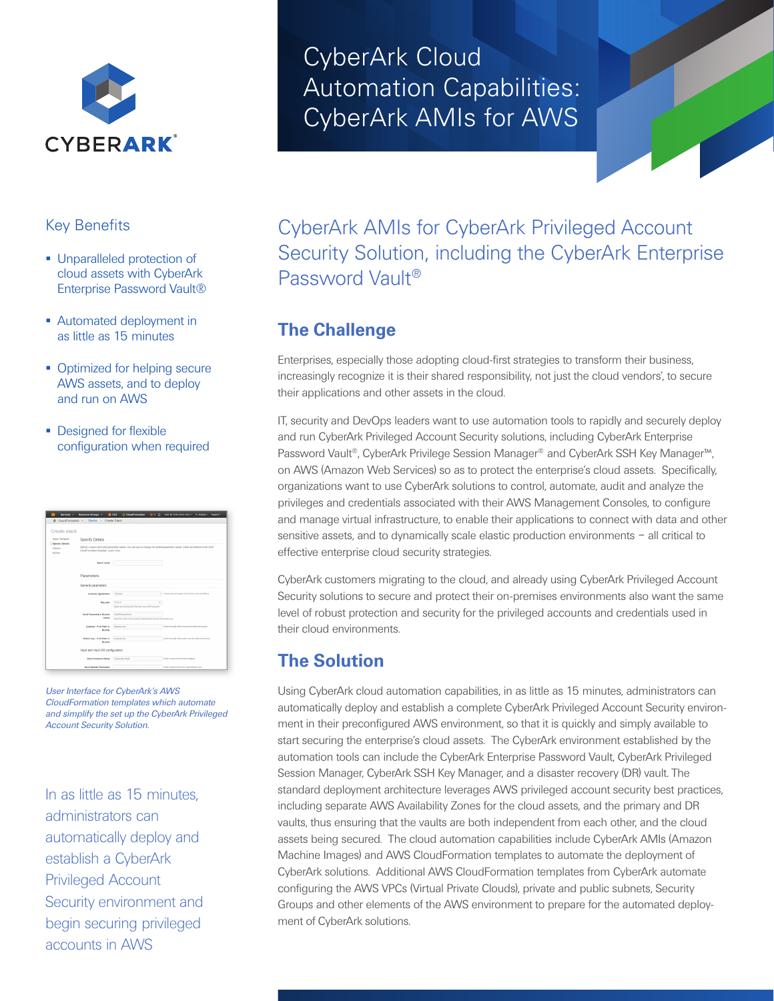

#### Key Benefits

- **Unparalleled protection of** cloud assets with CyberArk Enterprise Password Vault®
- **Automated deployment in** as little as 15 minutes
- Optimized for helping secure AWS assets, and to deploy and run on AWS
- **Designed for flexible** configuration when required

| Create stack                                                                        |                                                                                                                                                                     |                                                                                               |                                                          |
|-------------------------------------------------------------------------------------|---------------------------------------------------------------------------------------------------------------------------------------------------------------------|-----------------------------------------------------------------------------------------------|----------------------------------------------------------|
| Select Template<br><b>Specify Details</b><br>Options<br><b><i><u>Revere</u></i></b> | Specify Details                                                                                                                                                     |                                                                                               |                                                          |
|                                                                                     | Specify a stack name and parameter values. You can use or change the default parameter values, which are defined in the AWS<br>CloudFormation template. Learn more. |                                                                                               |                                                          |
|                                                                                     | Stock name                                                                                                                                                          |                                                                                               |                                                          |
|                                                                                     | Parameters                                                                                                                                                          |                                                                                               |                                                          |
|                                                                                     | General parameters                                                                                                                                                  |                                                                                               |                                                          |
|                                                                                     | License Astronomed                                                                                                                                                  | Decline<br>٠                                                                                  | There read and agree to the Terms and Conditions.        |
|                                                                                     | Key pair                                                                                                                                                            | Search<br>Select an existing Key Pair hors your AWS account.                                  |                                                          |
|                                                                                     | <b>Vasit Parameters Rusket</b><br>Married                                                                                                                           | <b>VaultParameters</b><br>Enter the name of the bucket containing the license and public key. |                                                          |
|                                                                                     | License - Full Path in<br><b>Rucket</b>                                                                                                                             | <b>Icense and</b>                                                                             | Enter the path of the license file within the bucket.    |
|                                                                                     | Public key - Full Path in<br><b>Becket</b>                                                                                                                          | recpub.key                                                                                    | Enter the gath of the oublic key file nithin the bucket. |
|                                                                                     | Vault and Vault DR configuration                                                                                                                                    |                                                                                               |                                                          |
|                                                                                     | <b>Voult Instance Name</b>                                                                                                                                          | <b>Cybestek Vault</b>                                                                         | Foder a name for the Vasili indance.                     |
|                                                                                     | <b>Vesti Master Password</b>                                                                                                                                        |                                                                                               | Ender a narocoxed by the Vaul Minder user.               |

*User Interface for CyberArk's AWS CloudFormation templates which automate and simplify the set up the CyberArk Privileged Account Security Solution.*

In as little as 15 minutes, administrators can automatically deploy and establish a CyberArk Privileged Account Security environment and begin securing privileged accounts in AWS

# CyberArk Cloud Automation Capabilities: CyberArk AMIs for AWS



CyberArk AMIs for CyberArk Privileged Account Security Solution, including the CyberArk Enterprise Password Vault®

## **The Challenge**

Enterprises, especially those adopting cloud-first strategies to transform their business, increasingly recognize it is their shared responsibility, not just the cloud vendors', to secure their applications and other assets in the cloud.

IT, security and DevOps leaders want to use automation tools to rapidly and securely deploy and run CyberArk Privileged Account Security solutions, including CyberArk Enterprise Password Vault®, CyberArk Privilege Session Manager® and CyberArk SSH Key Manager™, on AWS (Amazon Web Services) so as to protect the enterprise's cloud assets. Specifically, organizations want to use CyberArk solutions to control, automate, audit and analyze the privileges and credentials associated with their AWS Management Consoles, to configure and manage virtual infrastructure, to enable their applications to connect with data and other sensitive assets, and to dynamically scale elastic production environments – all critical to effective enterprise cloud security strategies.

CyberArk customers migrating to the cloud, and already using CyberArk Privileged Account Security solutions to secure and protect their on-premises environments also want the same level of robust protection and security for the privileged accounts and credentials used in their cloud environments.

## **The Solution**

Using CyberArk cloud automation capabilities, in as little as 15 minutes, administrators can automatically deploy and establish a complete CyberArk Privileged Account Security environment in their preconfigured AWS environment, so that it is quickly and simply available to start securing the enterprise's cloud assets. The CyberArk environment established by the automation tools can include the CyberArk Enterprise Password Vault, CyberArk Privileged Session Manager, CyberArk SSH Key Manager, and a disaster recovery (DR) vault. The standard deployment architecture leverages AWS privileged account security best practices, including separate AWS Availability Zones for the cloud assets, and the primary and DR vaults, thus ensuring that the vaults are both independent from each other, and the cloud assets being secured. The cloud automation capabilities include CyberArk AMIs (Amazon Machine Images) and AWS CloudFormation templates to automate the deployment of CyberArk solutions. Additional AWS CloudFormation templates from CyberArk automate configuring the AWS VPCs (Virtual Private Clouds), private and public subnets, Security Groups and other elements of the AWS environment to prepare for the automated deployment of CyberArk solutions.